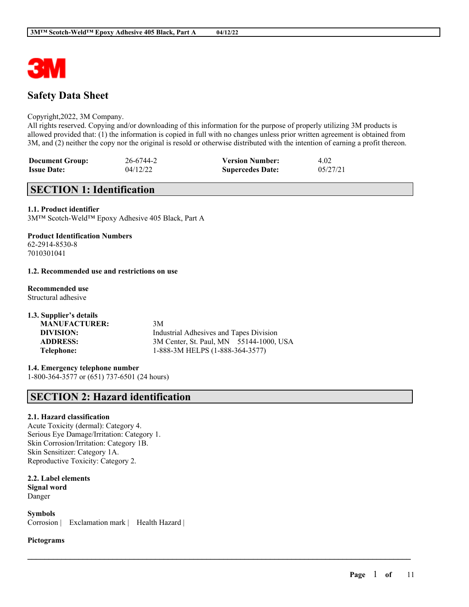

# **Safety Data Sheet**

### Copyright,2022, 3M Company.

All rights reserved. Copying and/or downloading of this information for the purpose of properly utilizing 3M products is allowed provided that: (1) the information is copied in full with no changes unless prior written agreement is obtained from 3M, and (2) neither the copy nor the original is resold or otherwise distributed with the intention of earning a profit thereon.

 $\mathcal{L}_\mathcal{L} = \mathcal{L}_\mathcal{L} = \mathcal{L}_\mathcal{L} = \mathcal{L}_\mathcal{L} = \mathcal{L}_\mathcal{L} = \mathcal{L}_\mathcal{L} = \mathcal{L}_\mathcal{L} = \mathcal{L}_\mathcal{L} = \mathcal{L}_\mathcal{L} = \mathcal{L}_\mathcal{L} = \mathcal{L}_\mathcal{L} = \mathcal{L}_\mathcal{L} = \mathcal{L}_\mathcal{L} = \mathcal{L}_\mathcal{L} = \mathcal{L}_\mathcal{L} = \mathcal{L}_\mathcal{L} = \mathcal{L}_\mathcal{L}$ 

| <b>Document Group:</b> | 26-6744-2 | <b>Version Number:</b>  | 4.02     |
|------------------------|-----------|-------------------------|----------|
| <b>Issue Date:</b>     | 04/12/22  | <b>Supercedes Date:</b> | 05/27/21 |

# **SECTION 1: Identification**

### **1.1. Product identifier**

3M™ Scotch-Weld™ Epoxy Adhesive 405 Black, Part A

# **Product Identification Numbers**

62-2914-8530-8 7010301041

### **1.2. Recommended use and restrictions on use**

**Recommended use** Structural adhesive

| 3M                                      |
|-----------------------------------------|
| Industrial Adhesives and Tapes Division |
| 3M Center, St. Paul, MN 55144-1000, USA |
| 1-888-3M HELPS (1-888-364-3577)         |
|                                         |

**1.4. Emergency telephone number** 1-800-364-3577 or (651) 737-6501 (24 hours)

# **SECTION 2: Hazard identification**

# **2.1. Hazard classification**

Acute Toxicity (dermal): Category 4. Serious Eye Damage/Irritation: Category 1. Skin Corrosion/Irritation: Category 1B. Skin Sensitizer: Category 1A. Reproductive Toxicity: Category 2.

**2.2. Label elements Signal word** Danger

**Symbols** Corrosion | Exclamation mark | Health Hazard |

#### **Pictograms**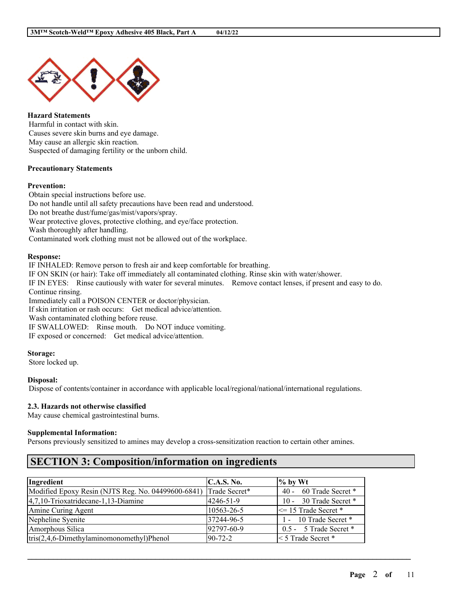

**Hazard Statements** Harmful in contact with skin. Causes severe skin burns and eye damage. May cause an allergic skin reaction. Suspected of damaging fertility or the unborn child.

## **Precautionary Statements**

#### **Prevention:**

Obtain special instructions before use. Do not handle until all safety precautions have been read and understood. Do not breathe dust/fume/gas/mist/vapors/spray. Wear protective gloves, protective clothing, and eye/face protection. Wash thoroughly after handling. Contaminated work clothing must not be allowed out of the workplace.

#### **Response:**

IF INHALED: Remove person to fresh air and keep comfortable for breathing. IF ON SKIN (or hair): Take off immediately all contaminated clothing. Rinse skin with water/shower. IF IN EYES: Rinse cautiously with water for several minutes. Remove contact lenses, if present and easy to do. Continue rinsing. Immediately call a POISON CENTER or doctor/physician. If skin irritation or rash occurs: Get medical advice/attention. Wash contaminated clothing before reuse. IF SWALLOWED: Rinse mouth. Do NOT induce vomiting. IF exposed or concerned: Get medical advice/attention.

#### **Storage:**

Store locked up.

# **Disposal:**

Dispose of contents/container in accordance with applicable local/regional/national/international regulations.

# **2.3. Hazards not otherwise classified**

May cause chemical gastrointestinal burns.

#### **Supplemental Information:**

Persons previously sensitized to amines may develop a cross-sensitization reaction to certain other amines.

# **SECTION 3: Composition/information on ingredients**

| Ingredient                                         | C.A.S. No.    | $\frac{1}{2}$ by Wt     |
|----------------------------------------------------|---------------|-------------------------|
| Modified Epoxy Resin (NJTS Reg. No. 04499600-6841) | Trade Secret* | 40 - 60 Trade Secret *  |
| $ 4,7,10$ -Trioxatridecane-1,13-Diamine            | 4246-51-9     | 10 - 30 Trade Secret *  |
| Amine Curing Agent                                 | 10563-26-5    | $\le$ 15 Trade Secret * |
| Nepheline Syenite                                  | 37244-96-5    | 1 - 10 Trade Secret *   |
| Amorphous Silica                                   | 92797-60-9    | 0.5 - 5 Trade Secret *  |
| $tris(2,4,6-Dimethylaminomonometry1)Phenol$        | $90-72-2$     | $\leq 5$ Trade Secret * |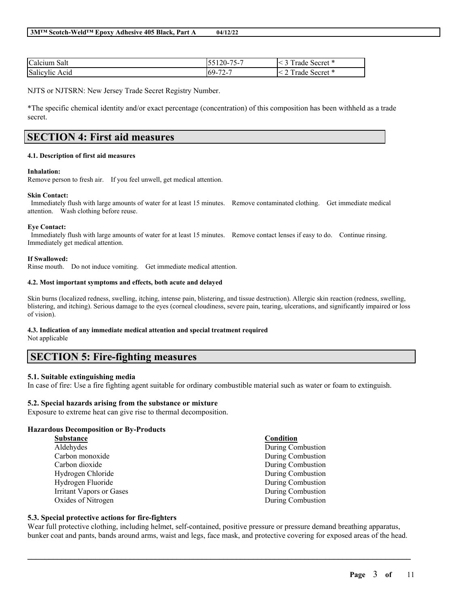| $\sim$ |  |
|--------|--|
|        |  |

| $\sim$ 1<br>Calcium Salt | ---<br>$\pm 20$ - '<br>$\mathbf{v}$<br>◡◡<br>ັ | $\overline{\phantom{a}}$<br>- 14<br>secret *<br>rade<br>- |
|--------------------------|------------------------------------------------|-----------------------------------------------------------|
| Salicylic<br>Acid        | $\sqrt{2}$<br>$69 -$<br>. .<br>.               | $\overline{ }$<br>$\sim$ secret $*$<br>rade               |

NJTS or NJTSRN: New Jersey Trade Secret Registry Number.

\*The specific chemical identity and/or exact percentage (concentration) of this composition has been withheld as a trade secret.

# **SECTION 4: First aid measures**

#### **4.1. Description of first aid measures**

#### **Inhalation:**

Remove person to fresh air. If you feel unwell, get medical attention.

#### **Skin Contact:**

Immediately flush with large amounts of water for at least 15 minutes. Remove contaminated clothing. Get immediate medical attention. Wash clothing before reuse.

#### **Eye Contact:**

Immediately flush with large amounts of water for at least 15 minutes. Remove contact lenses if easy to do. Continue rinsing. Immediately get medical attention.

#### **If Swallowed:**

Rinse mouth. Do not induce vomiting. Get immediate medical attention.

#### **4.2. Most important symptoms and effects, both acute and delayed**

Skin burns (localized redness, swelling, itching, intense pain, blistering, and tissue destruction). Allergic skin reaction (redness, swelling, blistering, and itching). Serious damage to the eyes (corneal cloudiness, severe pain, tearing, ulcerations, and significantly impaired or loss of vision).

# **4.3. Indication of any immediate medical attention and special treatment required**

Not applicable

# **SECTION 5: Fire-fighting measures**

# **5.1. Suitable extinguishing media**

In case of fire: Use a fire fighting agent suitable for ordinary combustible material such as water or foam to extinguish.

#### **5.2. Special hazards arising from the substance or mixture**

Exposure to extreme heat can give rise to thermal decomposition.

#### **Hazardous Decomposition or By-Products**

| Substance                       | Condition         |
|---------------------------------|-------------------|
| Aldehydes                       | During Combustion |
| Carbon monoxide                 | During Combustion |
| Carbon dioxide                  | During Combustion |
| Hydrogen Chloride               | During Combustion |
| Hydrogen Fluoride               | During Combustion |
| <b>Irritant Vapors or Gases</b> | During Combustion |
| Oxides of Nitrogen              | During Combustion |

#### **5.3. Special protective actions for fire-fighters**

Wear full protective clothing, including helmet, self-contained, positive pressure or pressure demand breathing apparatus, bunker coat and pants, bands around arms, waist and legs, face mask, and protective covering for exposed areas of the head.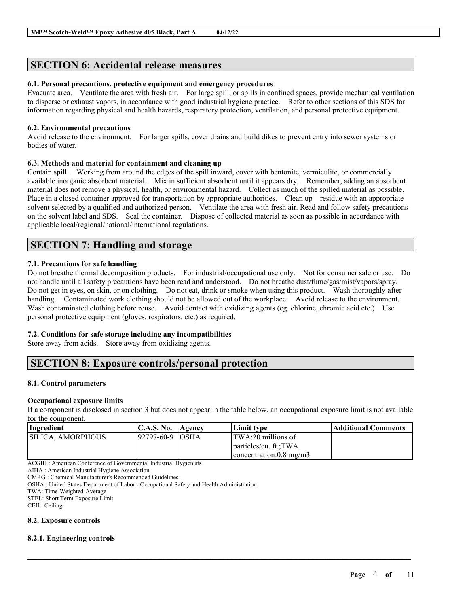# **SECTION 6: Accidental release measures**

# **6.1. Personal precautions, protective equipment and emergency procedures**

Evacuate area. Ventilate the area with fresh air. For large spill, or spills in confined spaces, provide mechanical ventilation to disperse or exhaust vapors, in accordance with good industrial hygiene practice. Refer to other sections of this SDS for information regarding physical and health hazards, respiratory protection, ventilation, and personal protective equipment.

## **6.2. Environmental precautions**

Avoid release to the environment. For larger spills, cover drains and build dikes to prevent entry into sewer systems or bodies of water.

# **6.3. Methods and material for containment and cleaning up**

Contain spill. Working from around the edges of the spill inward, cover with bentonite, vermiculite, or commercially available inorganic absorbent material. Mix in sufficient absorbent until it appears dry. Remember, adding an absorbent material does not remove a physical, health, or environmental hazard. Collect as much of the spilled material as possible. Place in a closed container approved for transportation by appropriate authorities. Clean up residue with an appropriate solvent selected by a qualified and authorized person. Ventilate the area with fresh air. Read and follow safety precautions on the solvent label and SDS. Seal the container. Dispose of collected material as soon as possible in accordance with applicable local/regional/national/international regulations.

# **SECTION 7: Handling and storage**

# **7.1. Precautions for safe handling**

Do not breathe thermal decomposition products. For industrial/occupational use only. Not for consumer sale or use. Do not handle until all safety precautions have been read and understood. Do not breathe dust/fume/gas/mist/vapors/spray. Do not get in eyes, on skin, or on clothing. Do not eat, drink or smoke when using this product. Wash thoroughly after handling. Contaminated work clothing should not be allowed out of the workplace. Avoid release to the environment. Wash contaminated clothing before reuse. Avoid contact with oxidizing agents (eg. chlorine, chromic acid etc.) Use personal protective equipment (gloves, respirators, etc.) as required.

# **7.2. Conditions for safe storage including any incompatibilities**

Store away from acids. Store away from oxidizing agents.

# **SECTION 8: Exposure controls/personal protection**

# **8.1. Control parameters**

# **Occupational exposure limits**

If a component is disclosed in section 3 but does not appear in the table below, an occupational exposure limit is not available for the component.

| Ingredient               | C.A.S. No.   Agency | Limit type                        | Additional Comments |
|--------------------------|---------------------|-----------------------------------|---------------------|
| <b>SILICA. AMORPHOUS</b> | 192797-60-9 IOSHA   | TWA:20 millions of                |                     |
|                          |                     | particles/cu. ft.:TWA             |                     |
|                          |                     | $\alpha$ concentration: 0.8 mg/m3 |                     |

 $\mathcal{L}_\mathcal{L} = \mathcal{L}_\mathcal{L} = \mathcal{L}_\mathcal{L} = \mathcal{L}_\mathcal{L} = \mathcal{L}_\mathcal{L} = \mathcal{L}_\mathcal{L} = \mathcal{L}_\mathcal{L} = \mathcal{L}_\mathcal{L} = \mathcal{L}_\mathcal{L} = \mathcal{L}_\mathcal{L} = \mathcal{L}_\mathcal{L} = \mathcal{L}_\mathcal{L} = \mathcal{L}_\mathcal{L} = \mathcal{L}_\mathcal{L} = \mathcal{L}_\mathcal{L} = \mathcal{L}_\mathcal{L} = \mathcal{L}_\mathcal{L}$ 

ACGIH : American Conference of Governmental Industrial Hygienists

AIHA : American Industrial Hygiene Association

CMRG : Chemical Manufacturer's Recommended Guidelines

OSHA : United States Department of Labor - Occupational Safety and Health Administration

TWA: Time-Weighted-Average

STEL: Short Term Exposure Limit

CEIL: Ceiling

# **8.2. Exposure controls**

# **8.2.1. Engineering controls**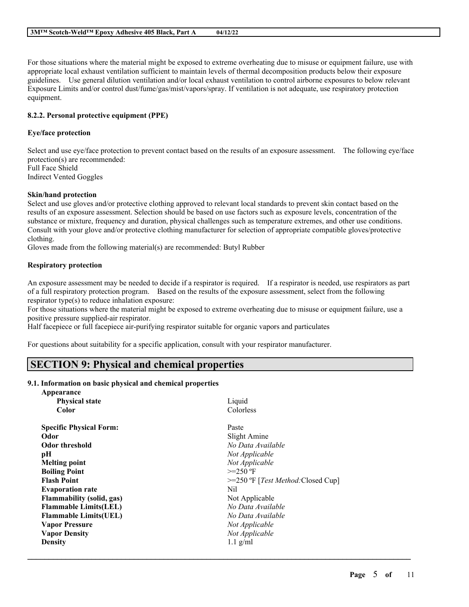For those situations where the material might be exposed to extreme overheating due to misuse or equipment failure, use with appropriate local exhaust ventilation sufficient to maintain levels of thermal decomposition products below their exposure guidelines. Use general dilution ventilation and/or local exhaust ventilation to control airborne exposures to below relevant Exposure Limits and/or control dust/fume/gas/mist/vapors/spray. If ventilation is not adequate, use respiratory protection equipment.

### **8.2.2. Personal protective equipment (PPE)**

#### **Eye/face protection**

Select and use eye/face protection to prevent contact based on the results of an exposure assessment. The following eye/face protection(s) are recommended: Full Face Shield Indirect Vented Goggles

#### **Skin/hand protection**

Select and use gloves and/or protective clothing approved to relevant local standards to prevent skin contact based on the results of an exposure assessment. Selection should be based on use factors such as exposure levels, concentration of the substance or mixture, frequency and duration, physical challenges such as temperature extremes, and other use conditions. Consult with your glove and/or protective clothing manufacturer for selection of appropriate compatible gloves/protective clothing.

Gloves made from the following material(s) are recommended: Butyl Rubber

### **Respiratory protection**

An exposure assessment may be needed to decide if a respirator is required. If a respirator is needed, use respirators as part of a full respiratory protection program. Based on the results of the exposure assessment, select from the following respirator type(s) to reduce inhalation exposure:

For those situations where the material might be exposed to extreme overheating due to misuse or equipment failure, use a positive pressure supplied-air respirator.

Half facepiece or full facepiece air-purifying respirator suitable for organic vapors and particulates

For questions about suitability for a specific application, consult with your respirator manufacturer.

# **SECTION 9: Physical and chemical properties**

# **9.1. Information on basic physical and chemical properties**

| Appearance                     |                                              |
|--------------------------------|----------------------------------------------|
| <b>Physical state</b>          | Liquid                                       |
| Color                          | Colorless                                    |
| <b>Specific Physical Form:</b> | Paste                                        |
| Odor                           | Slight Amine                                 |
| Odor threshold                 | No Data Available                            |
| pН                             | Not Applicable                               |
| <b>Melting point</b>           | Not Applicable                               |
| <b>Boiling Point</b>           | $>=250$ °F                                   |
| <b>Flash Point</b>             | $>=250$ °F [ <i>Test Method</i> :Closed Cup] |
| <b>Evaporation rate</b>        | Nil                                          |
| Flammability (solid, gas)      | Not Applicable                               |
| <b>Flammable Limits(LEL)</b>   | No Data Available                            |
| <b>Flammable Limits(UEL)</b>   | No Data Available                            |
| <b>Vapor Pressure</b>          | Not Applicable                               |
| <b>Vapor Density</b>           | Not Applicable                               |
| <b>Density</b>                 | $1.1$ g/ml                                   |
|                                |                                              |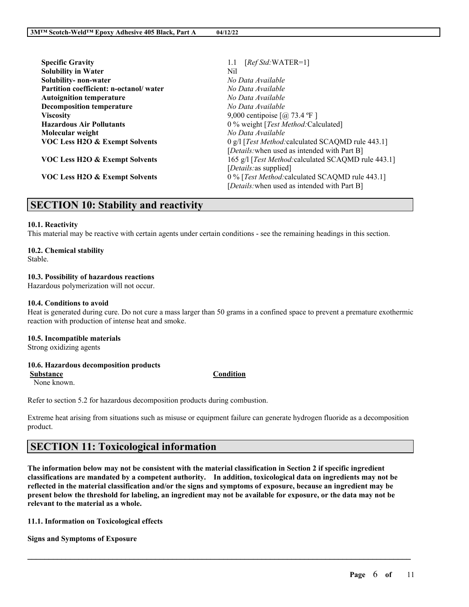| <b>Specific Gravity</b>                   | $[RefStd:WATER=1]$<br>1.1                                |
|-------------------------------------------|----------------------------------------------------------|
| <b>Solubility in Water</b>                | Nil                                                      |
| Solubility- non-water                     | No Data Available                                        |
| Partition coefficient: n-octanol/water    | No Data Available                                        |
| <b>Autoignition temperature</b>           | No Data Available                                        |
| <b>Decomposition temperature</b>          | No Data Available                                        |
| <b>Viscosity</b>                          | 9,000 centipoise $\lceil \omega \rceil$ 73.4 °F $\rceil$ |
| <b>Hazardous Air Pollutants</b>           | 0 % weight [Test Method:Calculated]                      |
| Molecular weight                          | No Data Available                                        |
| <b>VOC Less H2O &amp; Exempt Solvents</b> | 0 g/l [Test Method: calculated SCAQMD rule 443.1]        |
|                                           | [Details: when used as intended with Part B]             |
| <b>VOC Less H2O &amp; Exempt Solvents</b> | 165 g/l [Test Method: calculated SCAQMD rule 443.1]      |
|                                           | [ <i>Details</i> : as supplied]                          |
| VOC Less H2O & Exempt Solvents            | 0 % [Test Method: calculated SCAQMD rule 443.1]          |
|                                           | [Details: when used as intended with Part B]             |

# **SECTION 10: Stability and reactivity**

### **10.1. Reactivity**

This material may be reactive with certain agents under certain conditions - see the remaining headings in this section.

# **10.2. Chemical stability**

Stable.

#### **10.3. Possibility of hazardous reactions**

Hazardous polymerization will not occur.

#### **10.4. Conditions to avoid**

Heat is generated during cure. Do not cure a mass larger than 50 grams in a confined space to prevent a premature exothermic reaction with production of intense heat and smoke.

#### **10.5. Incompatible materials**

Strong oxidizing agents

# **10.6. Hazardous decomposition products**

**Substance Condition**

None known.

Refer to section 5.2 for hazardous decomposition products during combustion.

Extreme heat arising from situations such as misuse or equipment failure can generate hydrogen fluoride as a decomposition product.

# **SECTION 11: Toxicological information**

The information below may not be consistent with the material classification in Section 2 if specific ingredient **classifications are mandated by a competent authority. In addition, toxicological data on ingredients may not be** reflected in the material classification and/or the signs and symptoms of exposure, because an ingredient may be present below the threshold for labeling, an ingredient may not be available for exposure, or the data may not be **relevant to the material as a whole.**

 $\mathcal{L}_\mathcal{L} = \mathcal{L}_\mathcal{L} = \mathcal{L}_\mathcal{L} = \mathcal{L}_\mathcal{L} = \mathcal{L}_\mathcal{L} = \mathcal{L}_\mathcal{L} = \mathcal{L}_\mathcal{L} = \mathcal{L}_\mathcal{L} = \mathcal{L}_\mathcal{L} = \mathcal{L}_\mathcal{L} = \mathcal{L}_\mathcal{L} = \mathcal{L}_\mathcal{L} = \mathcal{L}_\mathcal{L} = \mathcal{L}_\mathcal{L} = \mathcal{L}_\mathcal{L} = \mathcal{L}_\mathcal{L} = \mathcal{L}_\mathcal{L}$ 

**11.1. Information on Toxicological effects**

**Signs and Symptoms of Exposure**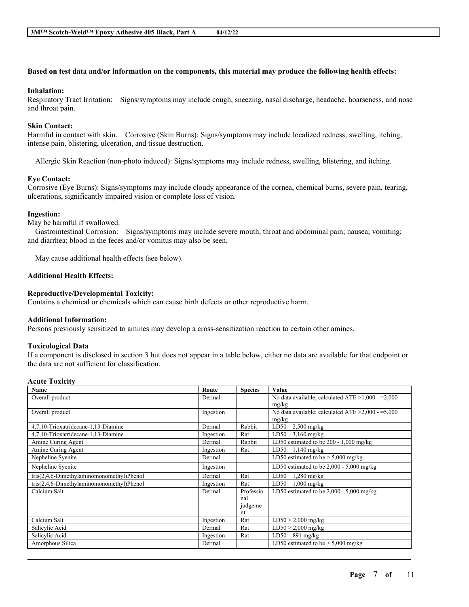## Based on test data and/or information on the components, this material may produce the following health effects:

#### **Inhalation:**

Respiratory Tract Irritation: Signs/symptoms may include cough, sneezing, nasal discharge, headache, hoarseness, and nose and throat pain.

# **Skin Contact:**

Harmful in contact with skin. Corrosive (Skin Burns): Signs/symptoms may include localized redness, swelling, itching, intense pain, blistering, ulceration, and tissue destruction.

Allergic Skin Reaction (non-photo induced): Signs/symptoms may include redness, swelling, blistering, and itching.

### **Eye Contact:**

Corrosive (Eye Burns): Signs/symptoms may include cloudy appearance of the cornea, chemical burns, severe pain, tearing, ulcerations, significantly impaired vision or complete loss of vision.

#### **Ingestion:**

May be harmful if swallowed.

Gastrointestinal Corrosion: Signs/symptoms may include severe mouth, throat and abdominal pain; nausea; vomiting; and diarrhea; blood in the feces and/or vomitus may also be seen.

May cause additional health effects (see below).

## **Additional Health Effects:**

### **Reproductive/Developmental Toxicity:**

Contains a chemical or chemicals which can cause birth defects or other reproductive harm.

#### **Additional Information:**

Persons previously sensitized to amines may develop a cross-sensitization reaction to certain other amines.

#### **Toxicological Data**

If a component is disclosed in section 3 but does not appear in a table below, either no data are available for that endpoint or the data are not sufficient for classification.

#### **Acute Toxicity**

| Name                                        | Route     | <b>Species</b> | Value                                                  |
|---------------------------------------------|-----------|----------------|--------------------------------------------------------|
| Overall product                             | Dermal    |                | No data available; calculated ATE $>1,000 - 2,000$     |
|                                             |           |                | mg/kg                                                  |
| Overall product                             | Ingestion |                | No data available; calculated ATE $\geq 2,000 - 5,000$ |
|                                             |           |                | mg/kg                                                  |
| 4,7,10-Trioxatridecane-1,13-Diamine         | Dermal    | Rabbit         | LD50<br>$2,500$ mg/kg                                  |
| 4,7,10-Trioxatridecane-1,13-Diamine         | Ingestion | Rat            | LD50<br>$3,160$ mg/kg                                  |
| Amine Curing Agent                          | Dermal    | Rabbit         | LD50 estimated to be 200 - 1,000 mg/kg                 |
| Amine Curing Agent                          | Ingestion | Rat            | $LD50$ 1,140 mg/kg                                     |
| Nepheline Syenite                           | Dermal    |                | LD50 estimated to be $> 5,000$ mg/kg                   |
| Nepheline Syenite                           | Ingestion |                | LD50 estimated to be $2,000 - 5,000$ mg/kg             |
| $tris(2,4,6-Dimethylaminomonometryl)Phenol$ | Dermal    | Rat            | LD50<br>$1,280$ mg/kg                                  |
| $tris(2,4,6-Dimethylaminomonometry) Phenol$ | Ingestion | Rat            | $1,000$ mg/kg<br>LD50                                  |
| Calcium Salt                                | Dermal    | Professio      | LD50 estimated to be 2,000 - 5,000 mg/kg               |
|                                             |           | nal            |                                                        |
|                                             |           | judgeme        |                                                        |
|                                             |           | nt             |                                                        |
| Calcium Salt                                | Ingestion | Rat            | $LD50 > 2,000$ mg/kg                                   |
| Salicylic Acid                              | Dermal    | Rat            | $LD50 > 2,000$ mg/kg                                   |
| Salicylic Acid                              | Ingestion | Rat            | $LD50$ 891 mg/kg                                       |
| Amorphous Silica                            | Dermal    |                | LD50 estimated to be $> 5,000$ mg/kg                   |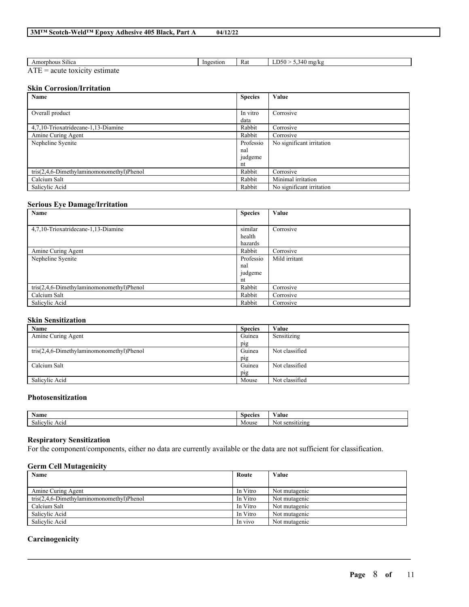| 04/12/22 |
|----------|
|----------|

| $-2.5.5.7$<br>Amorphous<br>Silica                         | -Inge<br>estion | Rat | 340<br>$\sim$<br>$m\sigma/k$<br>,,,,,<br>، ۱۰۰ |
|-----------------------------------------------------------|-----------------|-----|------------------------------------------------|
| -<br>_<br>-ac<br>п.<br>$\overline{ }$<br>нак<br>111L<br>. |                 |     |                                                |

# **Skin Corrosion/Irritation**

| Name                                        | <b>Species</b>   | Value                     |
|---------------------------------------------|------------------|---------------------------|
| Overall product                             | In vitro<br>data | Corrosive                 |
| 4,7,10-Trioxatridecane-1,13-Diamine         | Rabbit           | Corrosive                 |
| Amine Curing Agent                          | Rabbit           | Corrosive                 |
| Nepheline Syenite                           | Professio<br>nal | No significant irritation |
|                                             | judgeme<br>nt    |                           |
| $tris(2,4,6-Dimethvlaminomonomethvl)Phenol$ | Rabbit           | Corrosive                 |
| Calcium Salt                                | Rabbit           | Minimal irritation        |
| Salicylic Acid                              | Rabbit           | No significant irritation |

## **Serious Eye Damage/Irritation**

| Name                                      | <b>Species</b> | Value         |
|-------------------------------------------|----------------|---------------|
|                                           |                |               |
| 4.7.10-Trioxatridecane-1.13-Diamine       | similar        | Corrosive     |
|                                           | health         |               |
|                                           | hazards        |               |
| Amine Curing Agent                        | Rabbit         | Corrosive     |
| Nepheline Syenite                         | Professio      | Mild irritant |
|                                           | nal            |               |
|                                           | judgeme        |               |
|                                           | nt             |               |
| tris(2,4,6-Dimethylaminomonomethyl)Phenol | Rabbit         | Corrosive     |
| Calcium Salt                              | Rabbit         | Corrosive     |
| Salicylic Acid                            | Rabbit         | Corrosive     |

# **Skin Sensitization**

| Name                                        | <b>Species</b> | Value          |
|---------------------------------------------|----------------|----------------|
| Amine Curing Agent                          | Guinea         | Sensitizing    |
|                                             | pig            |                |
| $tris(2,4,6-Dimethylaminomonometry) Phenol$ | Guinea         | Not classified |
|                                             | pig            |                |
| Calcium Salt                                | Guinea         | Not classified |
|                                             | pig            |                |
| Salicylic Acid                              | Mouse          | Not classified |

# **Photosensitization**

| $\rightarrow$<br>Name     | $\sim$<br><i>Species</i> | ′alu\                                     |
|---------------------------|--------------------------|-------------------------------------------|
| -<br>ACIG<br>:VI10<br>эан | Mouse                    | ---<br>ľМ.<br>sensitizing<br>. <b>. .</b> |

## **Respiratory Sensitization**

For the component/components, either no data are currently available or the data are not sufficient for classification.

## **Germ Cell Mutagenicity**

| Name                                      | Route    | Value         |
|-------------------------------------------|----------|---------------|
|                                           |          |               |
| Amine Curing Agent                        | In Vitro | Not mutagenic |
| tris(2,4,6-Dimethylaminomonomethyl)Phenol | In Vitro | Not mutagenic |
| Calcium Salt                              | In Vitro | Not mutagenic |
| Salicylic Acid                            | In Vitro | Not mutagenic |
| Salicylic Acid                            | In vivo  | Not mutagenic |

 $\mathcal{L}_\mathcal{L} = \mathcal{L}_\mathcal{L} = \mathcal{L}_\mathcal{L} = \mathcal{L}_\mathcal{L} = \mathcal{L}_\mathcal{L} = \mathcal{L}_\mathcal{L} = \mathcal{L}_\mathcal{L} = \mathcal{L}_\mathcal{L} = \mathcal{L}_\mathcal{L} = \mathcal{L}_\mathcal{L} = \mathcal{L}_\mathcal{L} = \mathcal{L}_\mathcal{L} = \mathcal{L}_\mathcal{L} = \mathcal{L}_\mathcal{L} = \mathcal{L}_\mathcal{L} = \mathcal{L}_\mathcal{L} = \mathcal{L}_\mathcal{L}$ 

## **Carcinogenicity**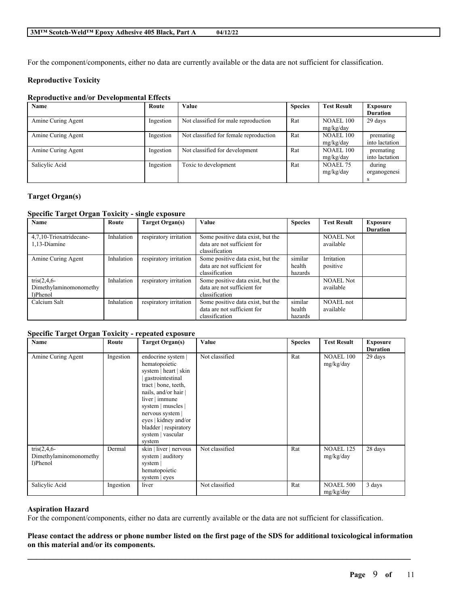For the component/components, either no data are currently available or the data are not sufficient for classification.

## **Reproductive Toxicity**

## **Reproductive and/or Developmental Effects**

| Name               | Route     | Value                                  | <b>Species</b> | <b>Test Result</b> | Exposure        |
|--------------------|-----------|----------------------------------------|----------------|--------------------|-----------------|
|                    |           |                                        |                |                    | <b>Duration</b> |
| Amine Curing Agent | Ingestion | Not classified for male reproduction   | Rat            | NOAEL 100          | 29 days         |
|                    |           |                                        |                | mg/kg/day          |                 |
| Amine Curing Agent | Ingestion | Not classified for female reproduction | Rat            | <b>NOAEL 100</b>   | premating       |
|                    |           |                                        |                | mg/kg/day          | into lactation  |
| Amine Curing Agent | Ingestion | Not classified for development         | Rat            | NOAEL 100          | premating       |
|                    |           |                                        |                | mg/kg/day          | into lactation  |
| Salicylic Acid     | Ingestion | Toxic to development                   | Rat            | NOAEL 75           | during          |
|                    |           |                                        |                | mg/kg/day          | organogenesi    |
|                    |           |                                        |                |                    |                 |

# **Target Organ(s)**

## **Specific Target Organ Toxicity - single exposure**

| Name                    | Route      | Target Organ(s)        | Value                             | <b>Species</b> | <b>Test Result</b> | <b>Exposure</b> |
|-------------------------|------------|------------------------|-----------------------------------|----------------|--------------------|-----------------|
|                         |            |                        |                                   |                |                    | <b>Duration</b> |
| 4.7.10-Trioxatridecane- | Inhalation | respiratory irritation | Some positive data exist, but the |                | <b>NOAEL Not</b>   |                 |
| 1,13-Diamine            |            |                        | data are not sufficient for       |                | available          |                 |
|                         |            |                        | classification                    |                |                    |                 |
| Amine Curing Agent      | Inhalation | respiratory irritation | Some positive data exist, but the | similar        | Irritation         |                 |
|                         |            |                        | data are not sufficient for       | health         | positive           |                 |
|                         |            |                        | classification                    | hazards        |                    |                 |
| $tris(2, 4, 6 -$        | Inhalation | respiratory irritation | Some positive data exist, but the |                | <b>NOAEL Not</b>   |                 |
| Dimethylaminomonomethy  |            |                        | data are not sufficient for       |                | available          |                 |
| 1)Phenol                |            |                        | classification                    |                |                    |                 |
| Calcium Salt            | Inhalation | respiratory irritation | Some positive data exist, but the | similar        | NOAEL not          |                 |
|                         |            |                        | data are not sufficient for       | health         | available          |                 |
|                         |            |                        | classification                    | hazards        |                    |                 |

#### **Specific Target Organ Toxicity - repeated exposure**

| Name                                                   | Route     | <b>Target Organ(s)</b>                                                                                                                                                                                                                                                     | Value          | <b>Species</b> | <b>Test Result</b>            | <b>Exposure</b><br><b>Duration</b> |
|--------------------------------------------------------|-----------|----------------------------------------------------------------------------------------------------------------------------------------------------------------------------------------------------------------------------------------------------------------------------|----------------|----------------|-------------------------------|------------------------------------|
| Amine Curing Agent                                     | Ingestion | endocrine system  <br>hematopoietic<br>system   heart   skin<br>gastrointestinal<br>tract   bone, teeth,<br>nails, and/or hair  <br>liver   immune<br>system   muscles  <br>nervous system<br>eyes   kidney and/or<br>bladder   respiratory<br>system   vascular<br>system | Not classified | Rat            | <b>NOAEL 100</b><br>mg/kg/day | 29 days                            |
| $tris(2, 4, 6 -$<br>Dimethylaminomonomethy<br>l)Phenol | Dermal    | skin   liver   nervous<br>system   auditory<br>system<br>hematopoietic<br>system $ $ eyes                                                                                                                                                                                  | Not classified | Rat            | <b>NOAEL 125</b><br>mg/kg/day | 28 days                            |
| Salicylic Acid                                         | Ingestion | liver                                                                                                                                                                                                                                                                      | Not classified | Rat            | <b>NOAEL 500</b><br>mg/kg/day | 3 days                             |

#### **Aspiration Hazard**

For the component/components, either no data are currently available or the data are not sufficient for classification.

# Please contact the address or phone number listed on the first page of the SDS for additional toxicological information **on this material and/or its components.**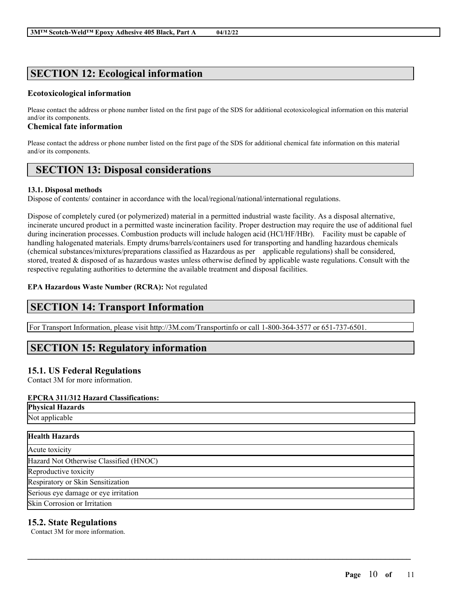# **SECTION 12: Ecological information**

# **Ecotoxicological information**

Please contact the address or phone number listed on the first page of the SDS for additional ecotoxicological information on this material and/or its components.

# **Chemical fate information**

Please contact the address or phone number listed on the first page of the SDS for additional chemical fate information on this material and/or its components.

# **SECTION 13: Disposal considerations**

# **13.1. Disposal methods**

Dispose of contents/ container in accordance with the local/regional/national/international regulations.

Dispose of completely cured (or polymerized) material in a permitted industrial waste facility. As a disposal alternative, incinerate uncured product in a permitted waste incineration facility. Proper destruction may require the use of additional fuel during incineration processes. Combustion products will include halogen acid (HCl/HF/HBr). Facility must be capable of handling halogenated materials. Empty drums/barrels/containers used for transporting and handling hazardous chemicals (chemical substances/mixtures/preparations classified as Hazardous as per applicable regulations) shall be considered, stored, treated & disposed of as hazardous wastes unless otherwise defined by applicable waste regulations. Consult with the respective regulating authorities to determine the available treatment and disposal facilities.

# **EPA Hazardous Waste Number (RCRA):** Not regulated

# **SECTION 14: Transport Information**

For Transport Information, please visit http://3M.com/Transportinfo or call 1-800-364-3577 or 651-737-6501.

# **SECTION 15: Regulatory information**

# **15.1. US Federal Regulations**

Contact 3M for more information.

# **EPCRA 311/312 Hazard Classifications:**

| <b>EPCRA 311/312 Hazard Classifications:</b> |  |
|----------------------------------------------|--|
| <b>Physical Hazards</b>                      |  |
| Not applicable                               |  |
| <b>Health Hazards</b>                        |  |
| Acute toxicity                               |  |
| Hazard Not Otherwise Classified (HNOC)       |  |
| Reproductive toxicity                        |  |
| Respiratory or Skin Sensitization            |  |
| Serious eye damage or eye irritation         |  |
| Skin Corrosion or Irritation                 |  |

 $\mathcal{L}_\mathcal{L} = \mathcal{L}_\mathcal{L} = \mathcal{L}_\mathcal{L} = \mathcal{L}_\mathcal{L} = \mathcal{L}_\mathcal{L} = \mathcal{L}_\mathcal{L} = \mathcal{L}_\mathcal{L} = \mathcal{L}_\mathcal{L} = \mathcal{L}_\mathcal{L} = \mathcal{L}_\mathcal{L} = \mathcal{L}_\mathcal{L} = \mathcal{L}_\mathcal{L} = \mathcal{L}_\mathcal{L} = \mathcal{L}_\mathcal{L} = \mathcal{L}_\mathcal{L} = \mathcal{L}_\mathcal{L} = \mathcal{L}_\mathcal{L}$ 

# **15.2. State Regulations**

Contact 3M for more information.